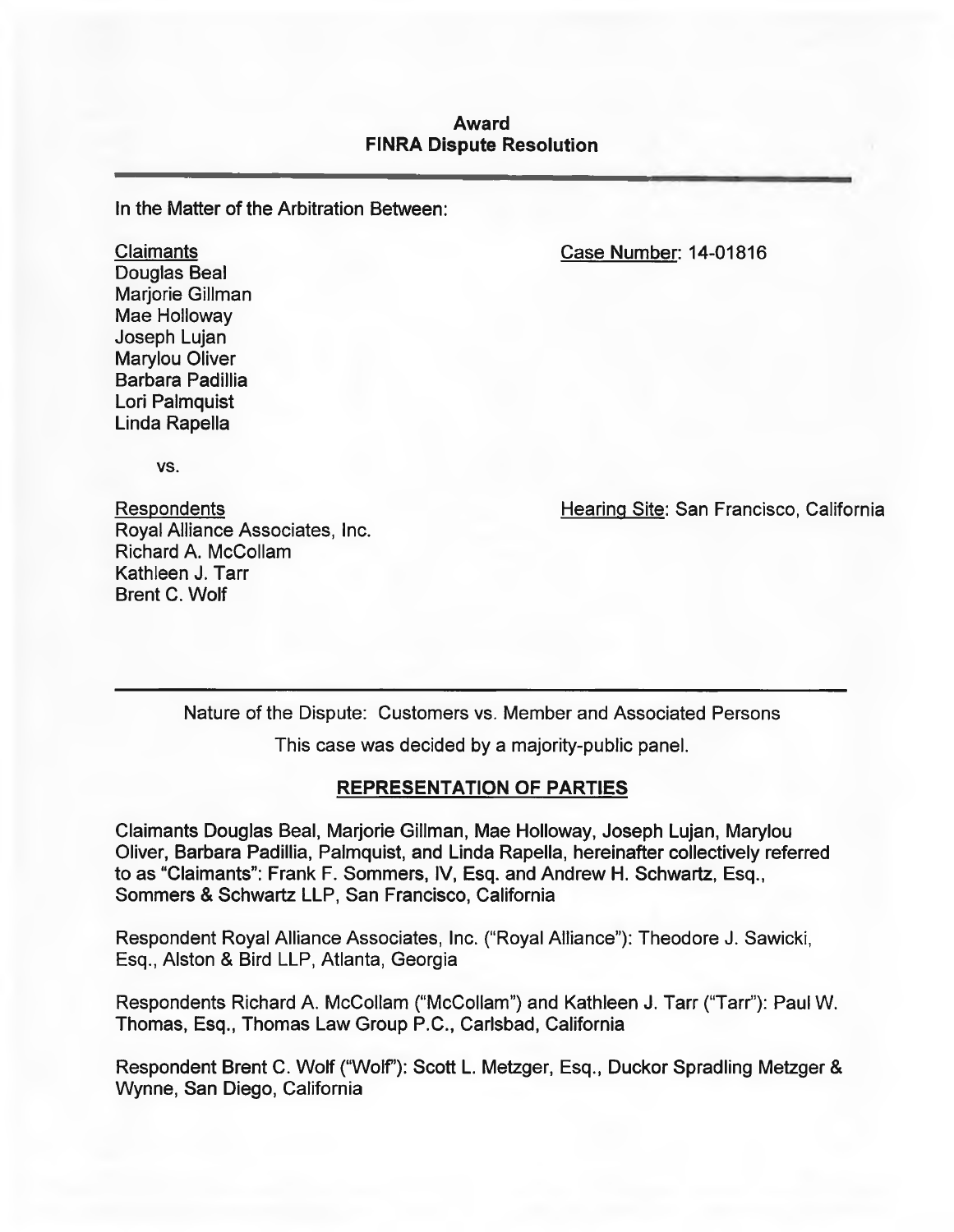### **Award FINRA Dispute Resolution**

In the Matter of the Arbitration Between:

Case Number: 14-01816

Claimants Douglas Beal Marjorie Gillman Mae Holloway Joseph Lujan Marylou Oliver Barbara Padillia Lori Palmquist Linda Rapella

VS.

Respondents Royal Alliance Associates, Inc. Richard A. McCollam Kathleen J. Tarr Brent C. Wolf

Hearing Site: San Francisco, California

Nature of the Dispute: Customers vs. Member and Associated Persons

This case was decided by a majority-public panel.

### **REPRESENTATION OF PARTIES**

Claimants Douglas Beal, Marjorie Gillman, Mae Holloway, Joseph Lujan, Marylou Oliver, Barbara Padillia, Palmquist, and Linda RapeIla, hereinafter collectively referred to as "Claimants": Frank F. Sommers, IV, Esq. and Andrew H. Schwartz, Esq., Sommers & Schwartz LLP, San Francisco, California

Respondent Royal Alliance Associates, Inc. ("Royal Alliance"): Theodore J. Sawicki, Esq., Alston & Bird LLP, Atlanta, Georgia

Respondents Richard A. McCollam ("McCollam") and Kathleen J. Tarr ("Tarr"): Paul W. Thomas, Esq., Thomas Law Group P.C., Carlsbad, California

Respondent Brent C. Wolf ("Wolf"): Scott L. Metzger, Esq., Duckor Spradling Metzger & Wynne, San Diego, California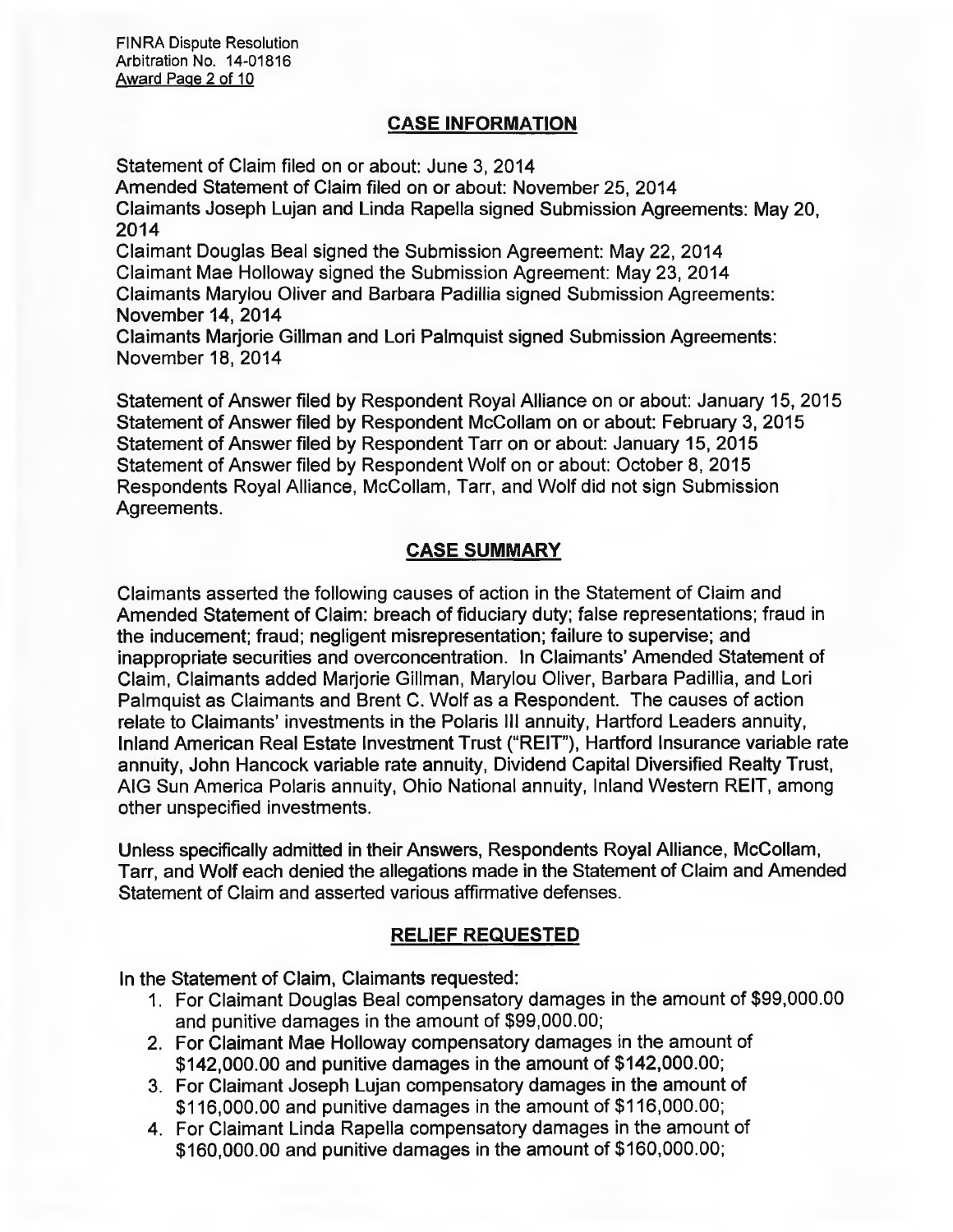## **CASE INFORMATION**

Statement of Claim filed on or about: June 3, 2014 Amended Statement of Claim filed on or about: November 25, 2014 Claimants Joseph Lujan and Linda RapeIla signed Submission Agreements: May 20, 2014 Claimant Douglas Beal signed the Submission Agreement: May 22, 2014 Claimant Mae Holloway signed the Submission Agreement: May 23, 2014 Claimants Marylou Oliver and Barbara Padillia signed Submission Agreements: November 14, 2014 Claimants Marjorie Gillman and Lori Palmquist signed Submission Agreements: November 18, 2014

Statement of Answer filed by Respondent Royal Alliance on or about: January 15, 2015 Statement of Answer filed by Respondent McCollam on or about: February 3, 2015 Statement of Answer filed by Respondent Tarr on or about: January 15, 2015 Statement of Answer filed by Respondent Wolf on or about: October 8, 2015 Respondents Royal Alliance, McCollam, Tarr, and Wolf did not sign Submission Agreements.

# **CASE SUMMARY**

Claimants asserted the following causes of action in the Statement of Claim and Amended Statement of Claim: breach of fiduciary duty; false representations; fraud in the inducement; fraud; negligent misrepresentation; failure to supervise; and inappropriate securities and overconcentration. In Claimants' Amended Statement of Claim, Claimants added Marjorie Gillman, Marylou Oliver, Barbara Padillia, and Lori Palmquist as Claimants and Brent C. Wolf as a Respondent. The causes of action relate to Claimants' investments in the Polaris III annuity, Hartford Leaders annuity, Inland American Real Estate Investment Trust ("REIT"), Hartford Insurance variable rate annuity, John Hancock variable rate annuity, Dividend Capital Diversified Realty Trust, AIG Sun America Polaris annuity, Ohio National annuity, Inland Western REIT, among other unspecified investments.

Unless specifically admitted in their Answers, Respondents Royal Alliance, McCollam, Tarr, and Wolf each denied the allegations made in the Statement of Claim and Amended Statement of Claim and asserted various affirmative defenses.

## **RELIEF REQUESTED**

In the Statement of Claim, Claimants requested:

- 1. For Claimant Douglas Beal compensatory damages in the amount of \$99,000.00 and punitive damages in the amount of \$99,000.00;
- 2. For Claimant Mae Holloway compensatory damages in the amount of \$142,000.00 and punitive damages in the amount of \$142,000.00;
- 3. For Claimant Joseph Lujan compensatory damages in the amount of \$116,000.00 and punitive damages in the amount of \$116,000.00;
- 4. For Claimant Linda Rapella compensatory damages in the amount of \$160,000.00 and punitive damages in the amount of \$160,000.00;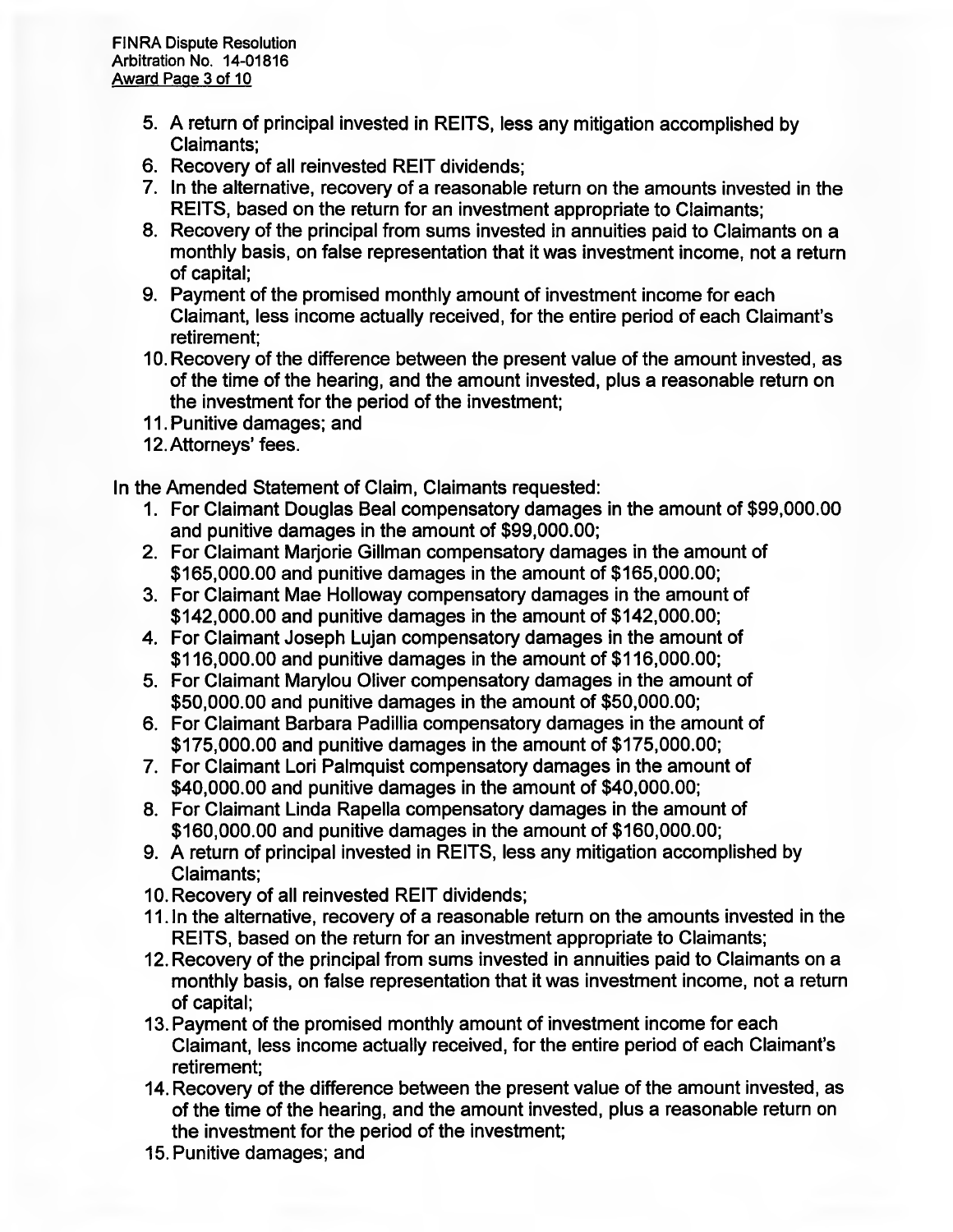- **5. A return of principal invested in REITS, less any mitigation accomplished by Claimants;**
- **6. Recovery of all reinvested REIT dividends;**
- **7. In the alternative, recovery of a reasonable return on the amounts invested in the REITS, based on the return for an investment appropriate to Claimants;**
- **8. Recovery of the principal from sums invested in annuities paid to Claimants on a monthly basis, on false representation that it was investment income, not a return of capital;**
- **9. Payment of the promised monthly amount of investment income for each Claimant, less income actually received, for the entire period of each Claimants retirement;**
- **10. Recovery of the difference between the present value of the amount invested, as of the time of the hearing, and the amount invested, plus a reasonable return on the investment for the period of the investment;**
- **11. Punitive damages; and**
- 12. Attorneys' fees.

**In the Amended Statement of Claim, Claimants requested:** 

- **1. For Claimant Douglas Beal compensatory damages in the amount of \$99,000.00 and punitive damages in the amount of \$99,000.00;**
- **2. For Claimant Marjorie Gillman compensatory damages in the amount of \$165,000.00 and punitive damages in the amount of \$165,000.00;**
- **3. For Claimant Mae Holloway compensatory damages in the amount of \$142,000.00 and punitive damages in the amount of \$142,000.00;**
- **4. For Claimant Joseph Lujan compensatory damages in the amount of \$116,000.00 and punitive damages in the amount of \$116,000.00;**
- **5. For Claimant Marylou Oliver compensatory damages in the amount of \$50,000.00 and punitive damages in the amount of \$50,000.00;**
- **6. For Claimant Barbara Padillia compensatory damages in the amount of \$175,000.00 and punitive damages in the amount of \$175,000.00;**
- **7. For Claimant Lori Palmquist compensatory damages in the amount of \$40,000.00 and punitive damages in the amount of \$40,000.00;**
- **8. For Claimant Linda RapeIla compensatory damages in the amount of \$160,000.00 and punitive damages in the amount of \$160,000.00;**
- **9. A return of principal invested in REITS, less any mitigation accomplished by Claimants;**
- **10. Recovery of all reinvested REIT dividends;**
- **11.ln the alternative, recovery of a reasonable return on the amounts invested in the REITS, based on the return for an investment appropriate to Claimants;**
- **12. Recovery of the principal from sums invested in annuities paid to Claimants on a monthly basis, on false representation that it was investment income, not a return of capital;**
- **13. Payment of the promised monthly amount of investment income for each Claimant, less income actually received, for the entire period of each Claimants retirement;**
- **14. Recovery of the difference between the present value of the amount invested, as of the time of the hearing, and the amount invested, plus a reasonable return on the investment for the period of the investment;**
- **15. Punitive damages; and**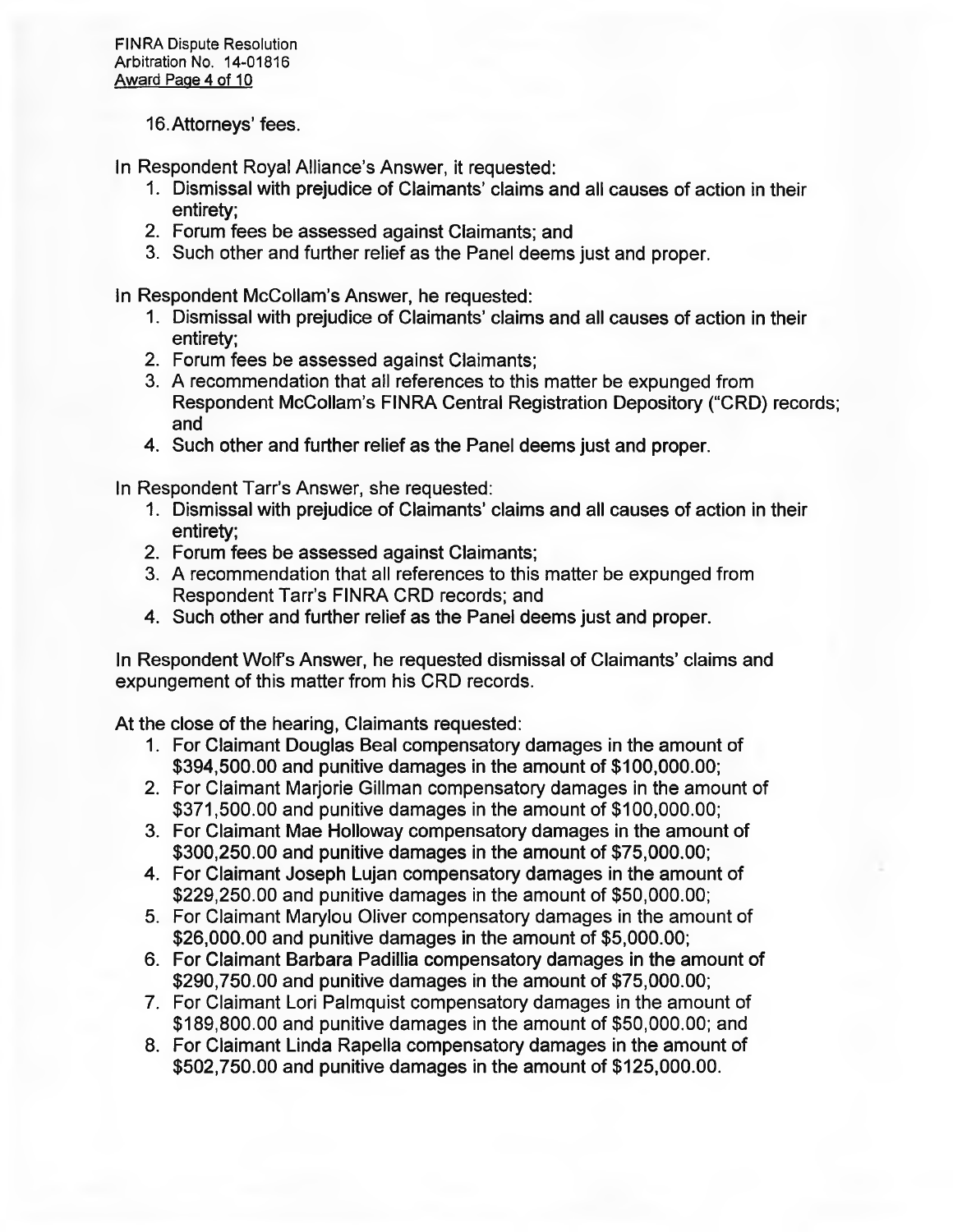## 16. Attorneys' fees.

**In Respondent Royal Alliance's Answer, it requested:** 

- **1. Dismissal with prejudice of Claimants' claims and all causes of action in their entirety;**
- **2. Forum fees be assessed against Claimants; and**
- **3. Such other and further relief as the Panel deems just and proper.**

**In Respondent McCollam's Answer, he requested:** 

- **1. Dismissal with prejudice of Claimants' claims and all causes of action in their entirety;**
- **2. Forum fees be assessed against Claimants;**
- **3. A recommendation that all references to this matter be expunged from Respondent McCollam's FINRA Central Registration Depository ('CRD) records; and**
- **4. Such other and further relief as the Panel deems just and proper.**

**In Respondent Tarr's Answer, she requested:** 

- **1. Dismissal with prejudice of Claimants' claims and all causes of action in their entirety;**
- **2. Forum fees be assessed against Claimants;**
- **3. A recommendation that all references to this matter be expunged from Respondent Tarr's FINRA CRD records; and**
- **4. Such other and further relief as the Panel deems just and proper.**

**In Respondent Wolfs Answer, he requested dismissal of Claimants' claims and expungement of this matter from his CRD records.** 

**At the close of the hearing, Claimants requested:** 

- **1. For Claimant Douglas Beal compensatory damages in the amount of \$394,500.00 and punitive damages in the amount of \$100,000.00;**
- **2. For Claimant Marjorie Gillman compensatory damages in the amount of \$371,500.00 and punitive damages in the amount of \$100,000.00;**
- **3. For Claimant Mae Holloway compensatory damages in the amount of \$300,250.00 and punitive damages in the amount of \$75,000.00;**
- **4. For Claimant Joseph Lujan compensatory damages in the amount of \$229,250.00 and punitive damages in the amount of \$50,000.00;**
- **5. For Claimant Marylou Oliver compensatory damages in the amount of \$26,000.00 and punitive damages in the amount of \$5,000.00;**
- **6. For Claimant Barbara Padillia compensatory damages in the amount of \$290,750.00 and punitive damages in the amount of \$75,000.00;**
- **7. For Claimant Lori Palmquist compensatory damages in the amount of \$189,800.00 and punitive damages in the amount of \$50,000.00; and**
- **8. For Claimant Linda RapeIla compensatory damages in the amount of \$502,750.00 and punitive damages in the amount of \$125,000.00.**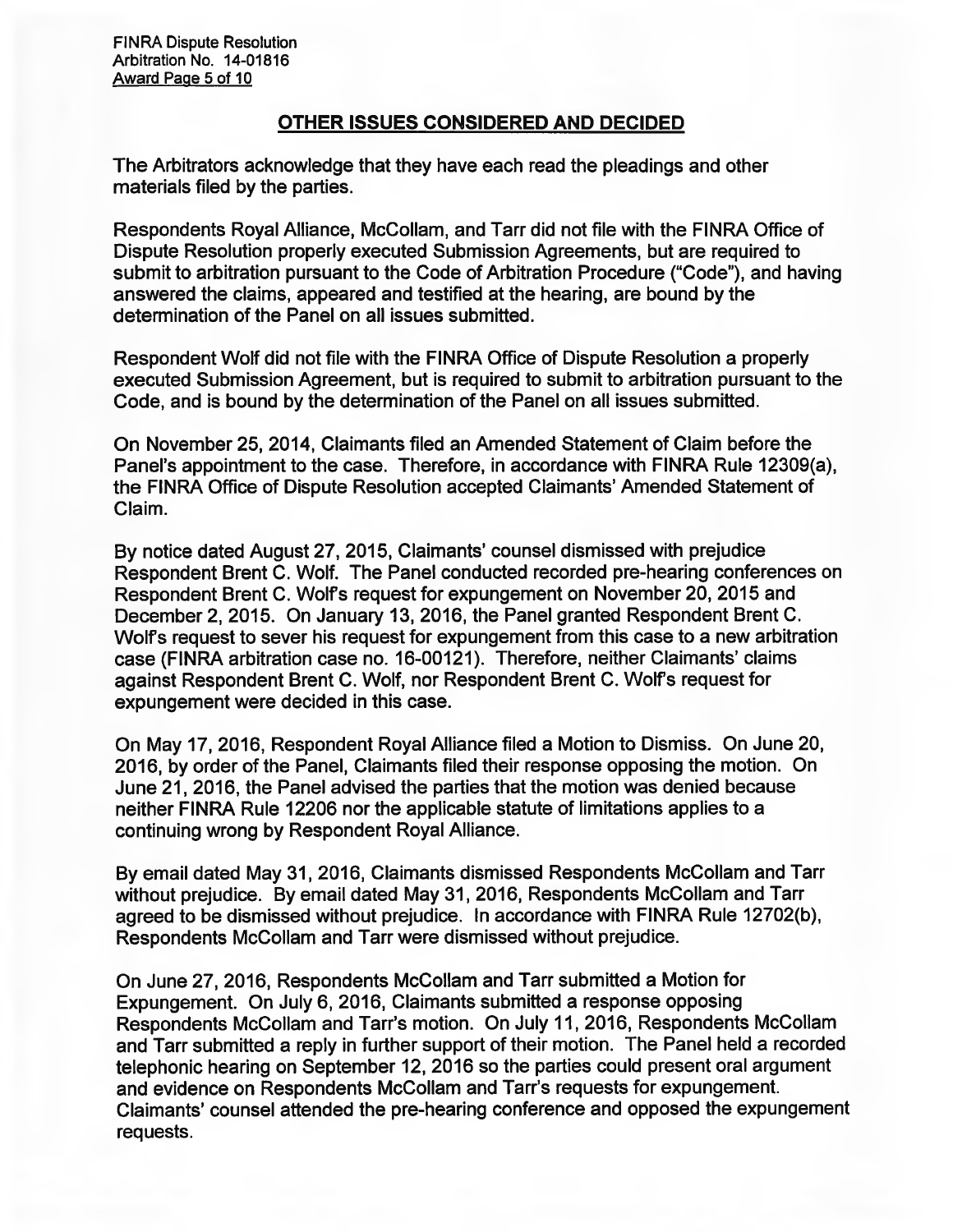## **OTHER ISSUES CONSIDERED AND DECIDED**

**The Arbitrators acknowledge that they have each read the pleadings and other materials filed by the parties.** 

**Respondents Royal Alliance, McCollam, and Tarr did not file with the FINRA Office of Dispute Resolution properly executed Submission Agreements, but are required to**  submit to arbitration pursuant to the Code of Arbitration Procedure ("Code"), and having **answered the claims, appeared and testified at the hearing, are bound by the determination of the Panel on all issues submitted.** 

**Respondent Wolf did not file with the FINRA Office of Dispute Resolution a properly executed Submission Agreement, but is required to submit to arbitration pursuant to the Code, and is bound by the determination of the Panel on all issues submitted.** 

**On November 25, 2014, Claimants filed an Amended Statement of Claim before the Panel's appointment to the case. Therefore, in accordance with FINRA Rule 12309(a),**  the FINRA Office of Dispute Resolution accepted Claimants' Amended Statement of **Claim.** 

**By notice dated August 27, 2015, Claimants' counsel dismissed with prejudice Respondent Brent C. Wolf. The Panel conducted recorded pre-hearing conferences on Respondent Brent C. Wolfs request for expungement on November 20, 2015 and December 2, 2015. On January 13, 2016, the Panel granted Respondent Brent C. Wolfs request to sever his request for expungement from this case to a new arbitration case (FINRA arbitration case no. 16-00121). Therefore, neither Claimants' claims against Respondent Brent C. Wolf, nor Respondent Brent C. Wolfs request for expungement were decided in this case.** 

**On May 17, 2016, Respondent Royal Alliance filed a Motion to Dismiss. On June 20, 2016, by order of the Panel, Claimants filed their response opposing the motion. On June 21, 2016, the Panel advised the parties that the motion was denied because neither FINRA Rule 12206 nor the applicable statute of limitations applies to a continuing wrong by Respondent Royal Alliance.** 

**By email dated May 31, 2016, Claimants dismissed Respondents McCollam and Tarr without prejudice. By email dated May 31, 2016, Respondents McCollam and Tarr agreed to be dismissed without prejudice. In accordance with FINRA Rule 12702(b), Respondents McCollam and Tarr were dismissed without prejudice.** 

**On June 27, 2016, Respondents McCollam and Tarr submitted a Motion for Expungement. On July 6, 2016, Claimants submitted a response opposing Respondents McCollam and Tarr's motion. On July 11, 2016, Respondents McCollam and Tarr submitted a reply in further support of their motion. The Panel held a recorded telephonic hearing on September 12, 2016 so the parties could present oral argument and evidence on Respondents McCollam and Tarr's requests for expungement. Claimants' counsel attended the pre-hearing conference and opposed the expungement requests.**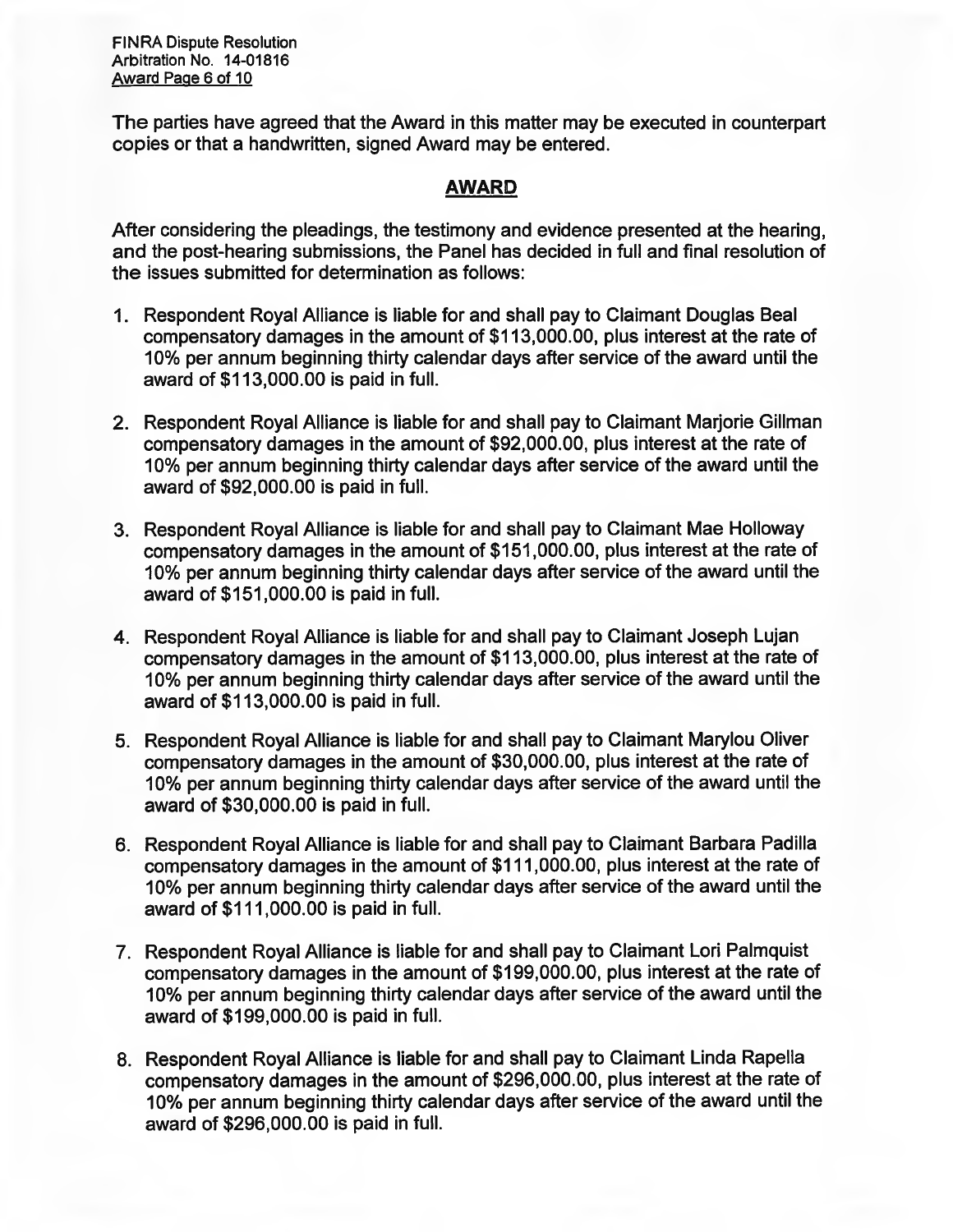**FINRA Dispute Resolution Arbitration No. 14-01816 Award Page 6 of 10** 

**The parties have agreed that the Award in this matter may be executed in counterpart copies or that a handwritten, signed Award may be entered.** 

## **AWARD**

**After considering the pleadings, the testimony and evidence presented at the hearing, and the post-hearing submissions, the Panel has decided in full and final resolution of the issues submitted for determination as follows:** 

- **1. Respondent Royal Alliance is liable for and shall pay to Claimant Douglas Beal compensatory damages in the amount of \$113,000.00, plus interest at the rate of 10% per annum beginning thirty calendar days after service of the award until the award of \$113,000.00 is paid in full.**
- **2. Respondent Royal Alliance is liable for and shall pay to Claimant Marjorie Gillman compensatory damages in the amount of \$92,000.00, plus interest at the rate of 10% per annum beginning thirty calendar days after service of the award until the award of \$92,000.00 is paid in full.**
- **3. Respondent Royal Alliance is liable for and shall pay to Claimant Mae Holloway compensatory damages in the amount of \$151,000.00, plus interest at the rate of 10% per annum beginning thirty calendar days after service of the award until the award of \$151,000.00 is paid in full.**
- **4. Respondent Royal Alliance is liable for and shall pay to Claimant Joseph Lujan compensatory damages in the amount of \$113,000.00, plus interest at the rate of 10% per annum beginning thirty calendar days after service of the award until the award of \$113,000.00 is paid in full.**
- **5. Respondent Royal Alliance is liable for and shall pay to Claimant Marylou Oliver compensatory damages in the amount of \$30,000.00, plus interest at the rate of 10% per annum beginning thirty calendar days after service of the award until the award of \$30,000.00 is paid in full.**
- **6. Respondent Royal Alliance is liable for and shall pay to Claimant Barbara Padilla compensatory damages in the amount of \$111,000.00, plus interest at the rate of 10% per annum beginning thirty calendar days after service of the award until the award of \$111,000.00 is paid in full.**
- **7. Respondent Royal Alliance is liable for and shall pay to Claimant Lori Palmquist compensatory damages in the amount of \$199,000.00, plus interest at the rate of 10% per annum beginning thirty calendar days after service of the award until the award of \$199,000.00 is paid in full.**
- **8. Respondent Royal Alliance is liable for and shall pay to Claimant Linda Rapella compensatory damages in the amount of \$296,000.00, plus interest at the rate of 10% per annum beginning thirty calendar days after service of the award until the award of \$296,000.00 is paid in full.**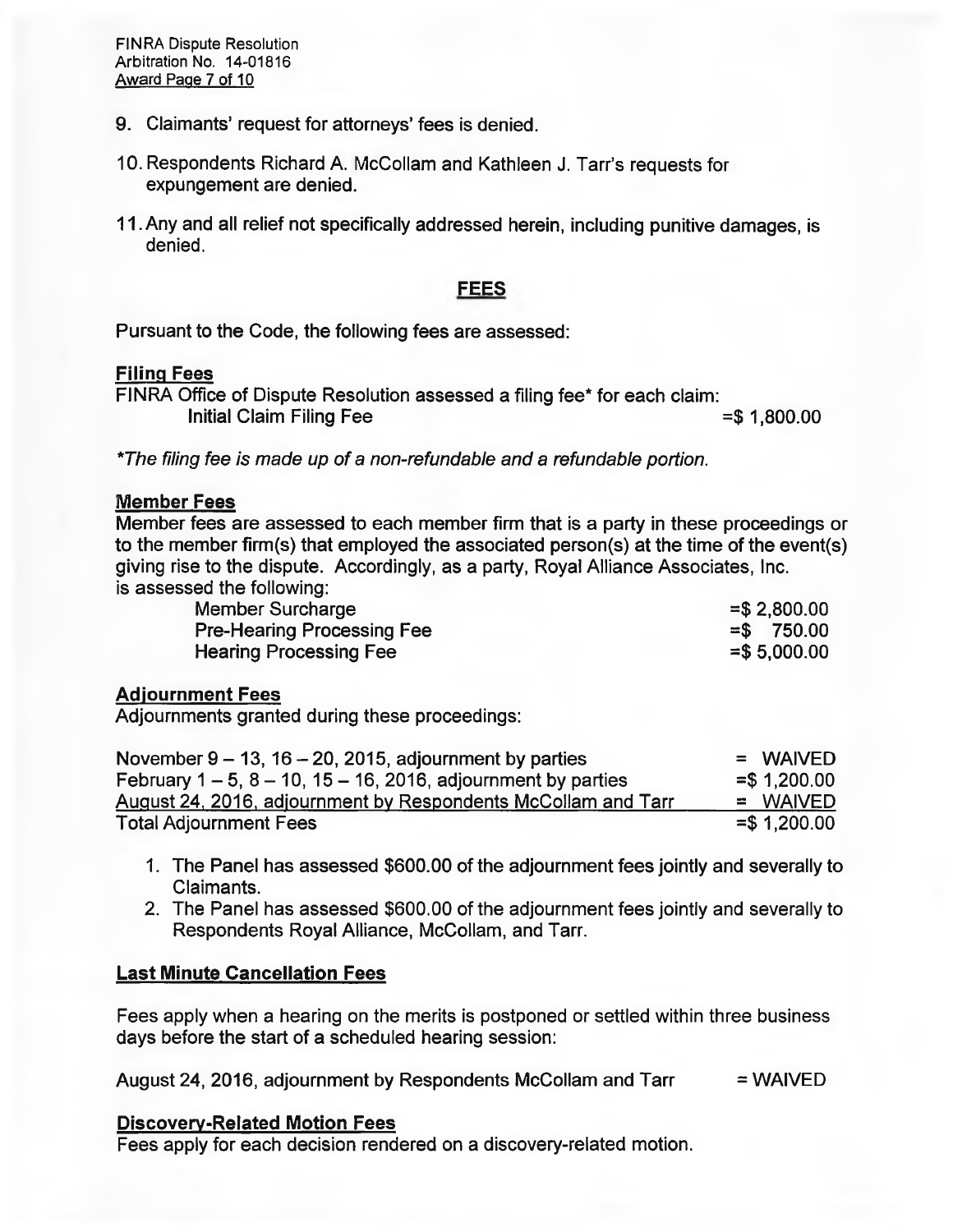- 9. Claimants' request for attorneys' fees is denied.
- 10. Respondents Richard A. McCollam and Kathleen J. Tarr's requests for expungement are denied.
- 11.Any and all relief not specifically addressed herein, including punitive damages, is denied.

## **FEES**

Pursuant to the Code, the following fees are assessed:

#### Filing Fees

FINRA Office of Dispute Resolution assessed a filing fee\* for each claim: Initial Claim Filing Fee  $=$  \$ 1,800.00

*\*The filing fee is made up of a non-refundable and a refundable portion.* 

#### **Member Fees**

Member fees are assessed to each member firm that is a party in these proceedings or to the member firm(s) that employed the associated person(s) at the time of the event(s) giving rise to the dispute. Accordingly, as a party, Royal Alliance Associates, Inc. is assessed the following:

| Member Surcharge                  | $=$ \$2,800.00 |
|-----------------------------------|----------------|
| <b>Pre-Hearing Processing Fee</b> | $=$ \$750.00   |
| <b>Hearing Processing Fee</b>     | $= $5,000.00$  |

### **Adjournment Fees**

Adjournments granted during these proceedings:

| November $9 - 13$ , $16 - 20$ , 2015, adjournment by parties     | $=$ WAIVED     |
|------------------------------------------------------------------|----------------|
| February $1-5$ , $8-10$ , $15-16$ , 2016, adjournment by parties | $=$ \$1,200.00 |
| August 24, 2016, adjournment by Respondents McCollam and Tarr    | $=$ WAIVED     |
| <b>Total Adjournment Fees</b>                                    | $=$ \$1,200.00 |

- 1. The Panel has assessed \$600.00 of the adjournment fees jointly and severally to Claimants.
- 2. The Panel has assessed \$600.00 of the adjournment fees jointly and severally to Respondents Royal Alliance, McCollam, and Tarr.

### **Last Minute Cancellation Fees**

Fees apply when a hearing on the merits is postponed or settled within three business days before the start of a scheduled hearing session:

August 24, 2016, adjournment by Respondents McCollam and Tarr  $=$  WAIVED

#### **Discoverv-Related Motion Fees**

Fees apply for each decision rendered on a discovery-related motion.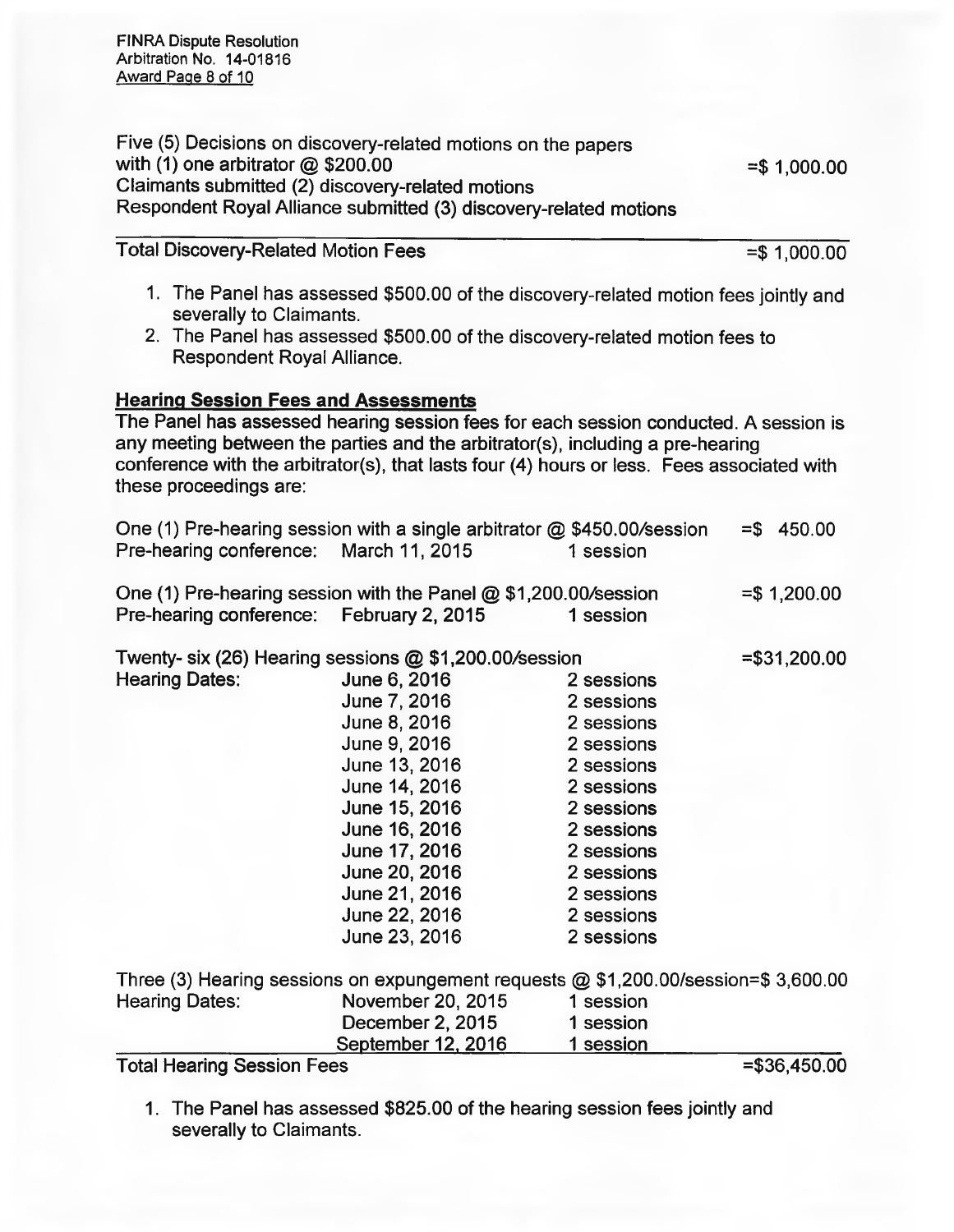FINRA Dispute Resolution Arbitration No. 14-01816 Award Page 8 of 10

Five (5) Decisions on discovery-related motions on the papers with (1) one arbitrator  $@$  \$200.00  $=$  \$ 1,000.00 Claimants submitted (2) discovery-related motions Respondent Royal Alliance submitted (3) discovery-related motions

Total Discovery-Related Motion Fees =  $$1,000.00$ 

- 1. The Panel has assessed \$500.00 of the discovery-related motion fees jointly and severally to Claimants.
- 2. The Panel has assessed \$500.00 of the discovery-related motion fees to Respondent Royal Alliance.

### **Hearing Session Fees and Assessments**

The Panel has assessed hearing session fees for each session conducted. A session is any meeting between the parties and the arbitrator(s), including a pre-hearing conference with the arbitrator(s), that lasts four (4) hours or less. Fees associated with these proceedings are:

| Pre-hearing conference: March 11, 2015   | One (1) Pre-hearing session with a single arbitrator $@$ \$450.00/session | 1 session  | $= $ 450.00$   |
|------------------------------------------|---------------------------------------------------------------------------|------------|----------------|
|                                          | One (1) Pre-hearing session with the Panel $@$ \$1,200.00/session         |            | $= $1,200.00$  |
| Pre-hearing conference: February 2, 2015 |                                                                           | 1 session  |                |
|                                          | Twenty- six (26) Hearing sessions @ \$1,200.00/session                    |            | $= $31,200.00$ |
| <b>Hearing Dates:</b>                    | June 6, 2016                                                              | 2 sessions |                |
|                                          | June 7, 2016                                                              | 2 sessions |                |

2 sessions 2 sessions

June 8, 2016  $l$ une  $Q$ , 2016

|                       | $0$ ung $0, 2010$ | L ƏUƏƏIUNƏ                                                                          |
|-----------------------|-------------------|-------------------------------------------------------------------------------------|
|                       | June 13, 2016     | 2 sessions                                                                          |
|                       | June 14, 2016     | 2 sessions                                                                          |
|                       | June 15, 2016     | 2 sessions                                                                          |
|                       | June 16, 2016     | 2 sessions                                                                          |
|                       | June 17, 2016     | 2 sessions                                                                          |
|                       | June 20, 2016     | 2 sessions                                                                          |
|                       | June 21, 2016     | 2 sessions                                                                          |
|                       | June 22, 2016     | 2 sessions                                                                          |
|                       | June 23, 2016     | 2 sessions                                                                          |
|                       |                   | Three (3) Hearing sessions on expungement requests @ \$1,200.00/session=\$ 3,600.00 |
| <b>Hearing Dates:</b> | November 20, 2015 | 1 session                                                                           |
|                       | December 2, 2015  | 1 session                                                                           |
|                       |                   |                                                                                     |

September 12, 2016 1 session

Total Hearing Session Fees =  $$36,450.00$ 

1. The Panel has assessed \$825.00 of the hearing session fees jointly and severally to Claimants.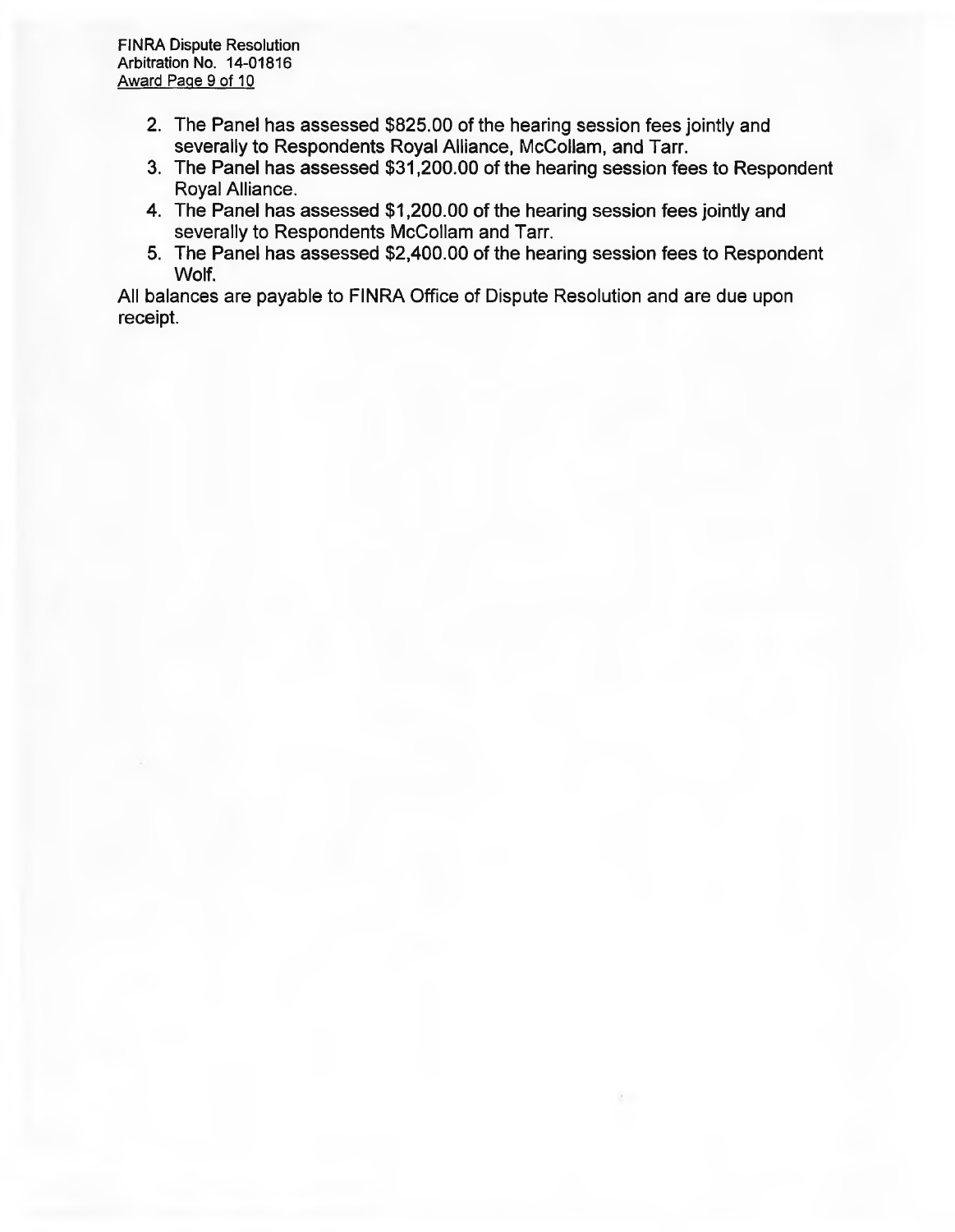- **2. The Panel has assessed \$825.00 of the hearing session fees jointly and severally to Respondents Royal Alliance, McCollam, and Tarr.**
- **3. The Panel has assessed \$31,200.00 of the hearing session fees to Respondent Royal Alliance.**
- **4. The Panel has assessed \$1,200.00 of the hearing session fees jointly and severally to Respondents McCollam and Tarr.**
- **5. The Panel has assessed \$2,400.00 of the hearing session fees to Respondent Wolf.**

**All balances are payable to FINRA Office of Dispute Resolution and are due upon receipt.**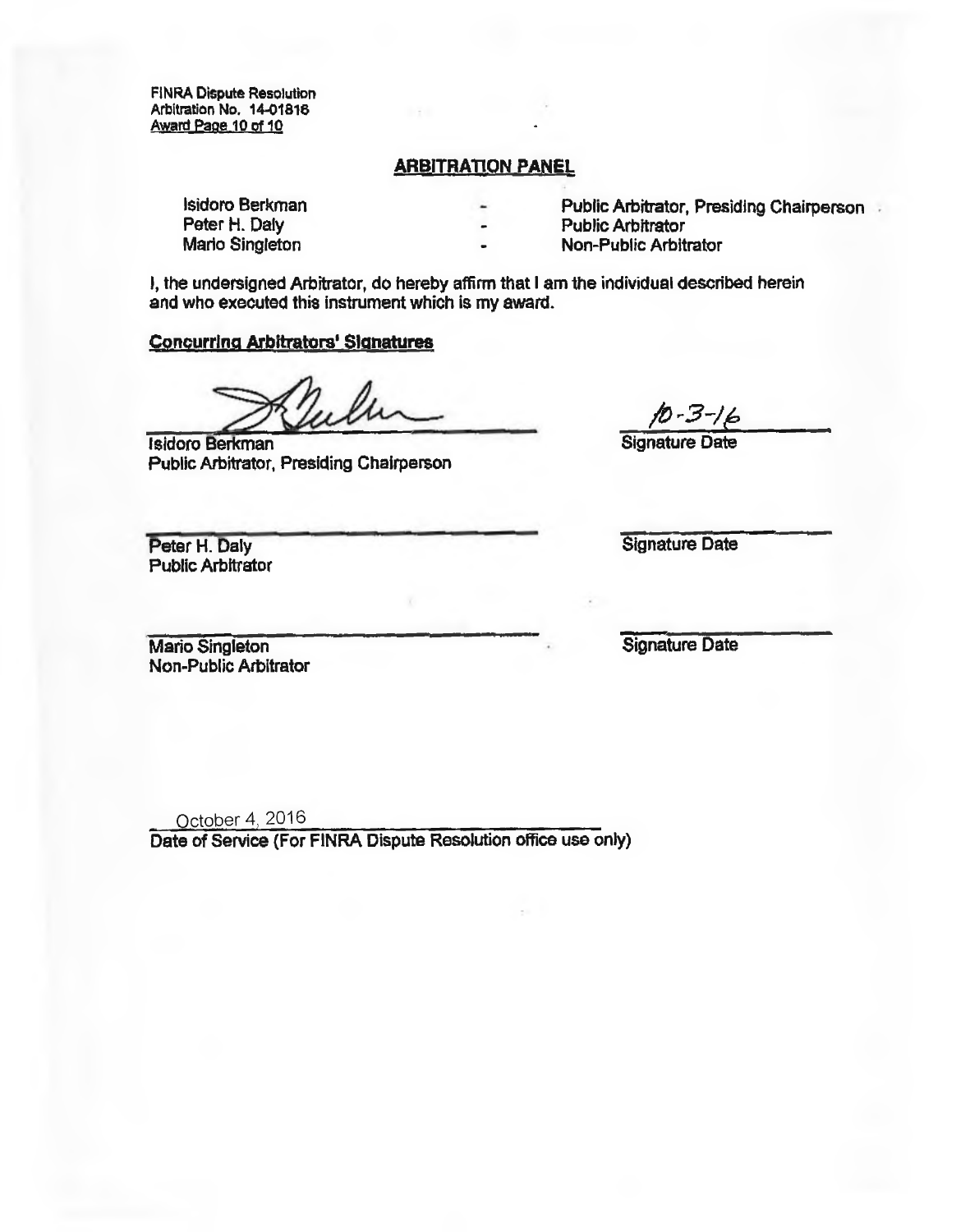**FINRA Dispute Resolution Arbitration No. 1401818 Award Pape 10of 10** 

#### **ARBITRATION PANEL**

Peter H. Daly **Peter H. Daly Community Community Community Public Arbitrator Mario Singleton Community Community Community Public Arbitrator Media and Public Arbitrator <b>Non-Public Arbitrator** 

**Isidoro Berkman Public Arbitrator, Presiding Chairperson** 

**Mario Singleton Non-Public Arbitrator** 

**I, the undersigned Arbitrator, do hereby affirm that I am the individual described herein and who executed this instrument which is my award.** 

#### **Concurring Arbitrators' Signatures**

**Isidoro Berkman Public Arbitrator, Presiding Chairperson** 

**Public Arbitrator** 

*A-3-46* 

Peter H. Daly **Signature Date** 

**Mario Singleton Non-Public Arbitrator**  **Signature Date** 

October 4, 2016

**Date of Service (For FlNRA Dispute Resolution office use only)**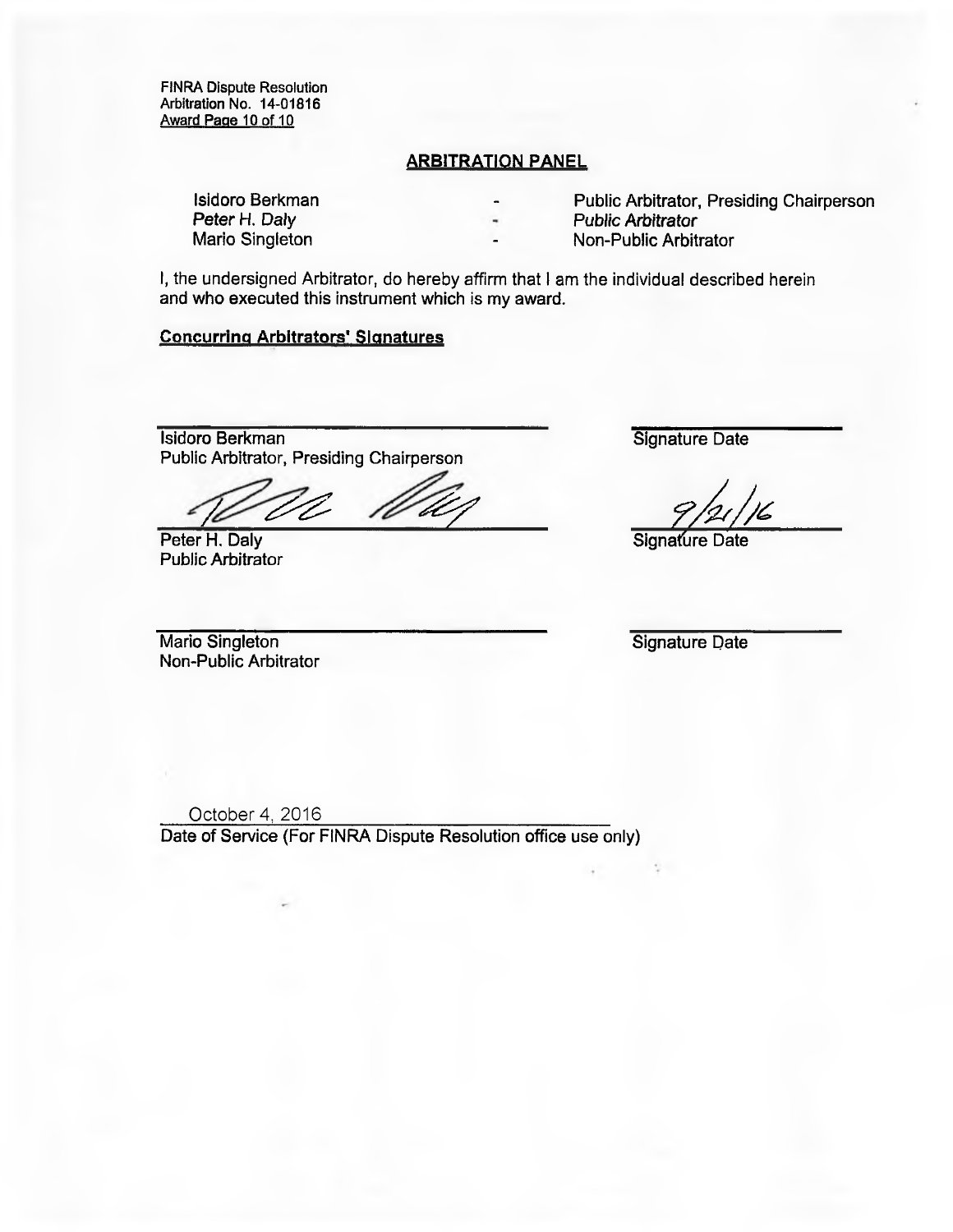FINRA Dispute Resolution Arbitration No. 14-01816 Award Page 10 of 10

#### **ARBITRATION PANEL**

Peter H. Daly **Peter H. Daly Community Community** Public Arbitrator **Public Arbitrator** Public Arbitrator **Public Arbitrator** 

Isidoro Berkman **Isidoro Berkman Public Arbitrator**, Presiding Chairperson Peter H. Daly

Non-Public Arbitrator

I, the undersigned Arbitrator, do hereby affirm that I am the individual described herein and who executed this instrument which is my award.

#### **Concurring Arbitrators' Signatures**

Isidoro Berkman Signature Date Public Arbitrator, Presiding Chairperson

Peter H. Daly Signature Date Public Arbitrator

Mario Singleton Signature Date Non-Public Arbitrator

October 4, 2016 Date of Service (For FINRA Dispute Resolution office use only)